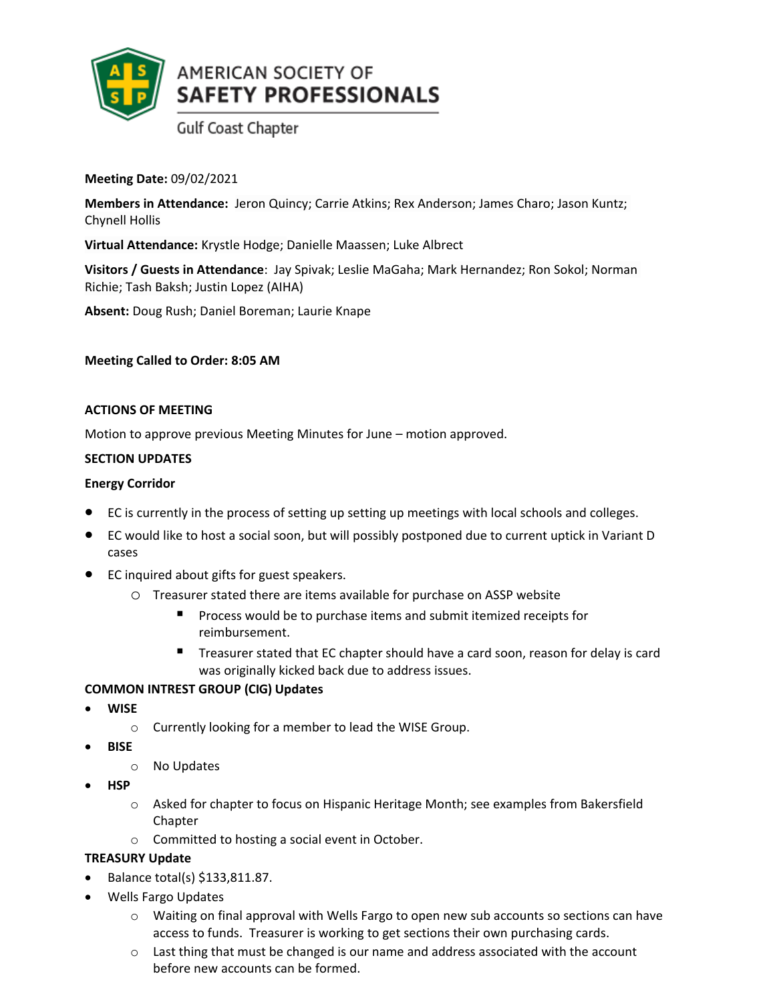

**Meeting Date:** 09/02/2021

**Members in Attendance:** Jeron Quincy; Carrie Atkins; Rex Anderson; James Charo; Jason Kuntz; Chynell Hollis

**Virtual Attendance:** Krystle Hodge; Danielle Maassen; Luke Albrect

**Visitors / Guests in Attendance**: Jay Spivak; Leslie MaGaha; Mark Hernandez; Ron Sokol; Norman Richie; Tash Baksh; Justin Lopez (AIHA)

**Absent:** Doug Rush; Daniel Boreman; Laurie Knape

**Meeting Called to Order: 8:05 AM**

#### **ACTIONS OF MEETING**

Motion to approve previous Meeting Minutes for June – motion approved.

### **SECTION UPDATES**

#### **Energy Corridor**

- EC is currently in the process of setting up setting up meetings with local schools and colleges.
- EC would like to host a social soon, but will possibly postponed due to current uptick in Variant D cases
- EC inquired about gifts for guest speakers.
	- o Treasurer stated there are items available for purchase on ASSP website
		- Process would be to purchase items and submit itemized receipts for reimbursement.
		- Treasurer stated that EC chapter should have a card soon, reason for delay is card was originally kicked back due to address issues.

### **COMMON INTREST GROUP (CIG) Updates**

- **WISE**
	- o Currently looking for a member to lead the WISE Group.
- **BISE**
	- o No Updates
- **HSP**
	- o Asked for chapter to focus on Hispanic Heritage Month; see examples from Bakersfield Chapter
	- o Committed to hosting a social event in October.

### **TREASURY Update**

- Balance total(s) \$133,811.87.
- Wells Fargo Updates
	- o Waiting on final approval with Wells Fargo to open new sub accounts so sections can have access to funds. Treasurer is working to get sections their own purchasing cards.
	- $\circ$  Last thing that must be changed is our name and address associated with the account before new accounts can be formed.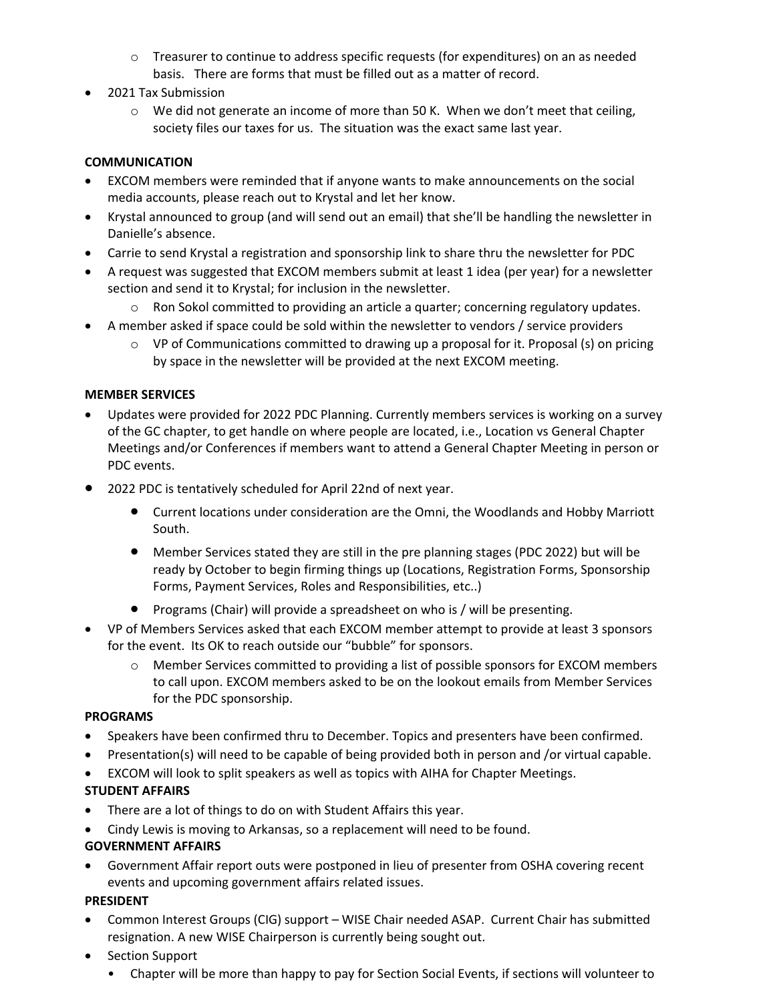- $\circ$  Treasurer to continue to address specific requests (for expenditures) on an as needed basis. There are forms that must be filled out as a matter of record.
- 2021 Tax Submission
	- $\circ$  We did not generate an income of more than 50 K. When we don't meet that ceiling, society files our taxes for us. The situation was the exact same last year.

### **COMMUNICATION**

- EXCOM members were reminded that if anyone wants to make announcements on the social media accounts, please reach out to Krystal and let her know.
- Krystal announced to group (and will send out an email) that she'll be handling the newsletter in Danielle's absence.
- Carrie to send Krystal a registration and sponsorship link to share thru the newsletter for PDC
- A request was suggested that EXCOM members submit at least 1 idea (per year) for a newsletter section and send it to Krystal; for inclusion in the newsletter.
	- o Ron Sokol committed to providing an article a quarter; concerning regulatory updates.
- A member asked if space could be sold within the newsletter to vendors / service providers
	- $\circ$  VP of Communications committed to drawing up a proposal for it. Proposal (s) on pricing by space in the newsletter will be provided at the next EXCOM meeting.

### **MEMBER SERVICES**

- Updates were provided for 2022 PDC Planning. Currently members services is working on a survey of the GC chapter, to get handle on where people are located, i.e., Location vs General Chapter Meetings and/or Conferences if members want to attend a General Chapter Meeting in person or PDC events.
- 2022 PDC is tentatively scheduled for April 22nd of next year.
	- Current locations under consideration are the Omni, the Woodlands and Hobby Marriott South.
	- Member Services stated they are still in the pre planning stages (PDC 2022) but will be ready by October to begin firming things up (Locations, Registration Forms, Sponsorship Forms, Payment Services, Roles and Responsibilities, etc..)
	- Programs (Chair) will provide a spreadsheet on who is / will be presenting.
- VP of Members Services asked that each EXCOM member attempt to provide at least 3 sponsors for the event. Its OK to reach outside our "bubble" for sponsors.
	- $\circ$  Member Services committed to providing a list of possible sponsors for EXCOM members to call upon. EXCOM members asked to be on the lookout emails from Member Services for the PDC sponsorship.

### **PROGRAMS**

- Speakers have been confirmed thru to December. Topics and presenters have been confirmed.
- Presentation(s) will need to be capable of being provided both in person and /or virtual capable.
- EXCOM will look to split speakers as well as topics with AIHA for Chapter Meetings.

### **STUDENT AFFAIRS**

- There are a lot of things to do on with Student Affairs this year.
- Cindy Lewis is moving to Arkansas, so a replacement will need to be found.

### **GOVERNMENT AFFAIRS**

• Government Affair report outs were postponed in lieu of presenter from OSHA covering recent events and upcoming government affairs related issues.

### **PRESIDENT**

- Common Interest Groups (CIG) support WISE Chair needed ASAP. Current Chair has submitted resignation. A new WISE Chairperson is currently being sought out.
- Section Support
	- Chapter will be more than happy to pay for Section Social Events, if sections will volunteer to